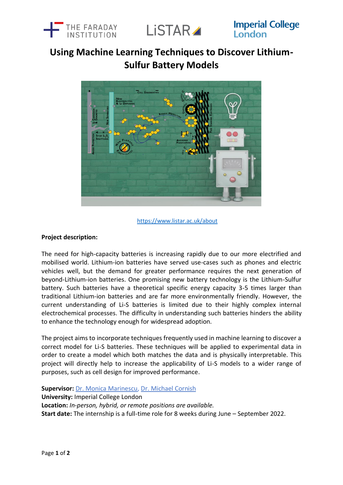



**Imperial College** London

# **Using Machine Learning Techniques to Discover Lithium-Sulfur Battery Models**



# <https://www.listar.ac.uk/about>

# **Project description:**

The need for high-capacity batteries is increasing rapidly due to our more electrified and mobilised world. Lithium-ion batteries have served use-cases such as phones and electric vehicles well, but the demand for greater performance requires the next generation of beyond-Lithium-ion batteries. One promising new battery technology is the Lithium-Sulfur battery. Such batteries have a theoretical specific energy capacity 3-5 times larger than traditional Lithium-ion batteries and are far more environmentally friendly. However, the current understanding of Li-S batteries is limited due to their highly complex internal electrochemical processes. The difficulty in understanding such batteries hinders the ability to enhance the technology enough for widespread adoption.

The project aims to incorporate techniques frequently used in machine learning to discover a correct model for Li-S batteries. These techniques will be applied to experimental data in order to create a model which both matches the data and is physically interpretable. This project will directly help to increase the applicability of Li-S models to a wider range of purposes, such as cell design for improved performance.

**Supervisor:** [Dr. Monica Marinescu,](https://www.imperial.ac.uk/people/monica.marinescu) [Dr. Michael Cornish](https://www.imperial.ac.uk/people/m.cornish14)

**University:** Imperial College London

**Location:** *In-person, hybrid, or remote positions are available.* 

**Start date:** The internship is a full-time role for 8 weeks during June – September 2022.